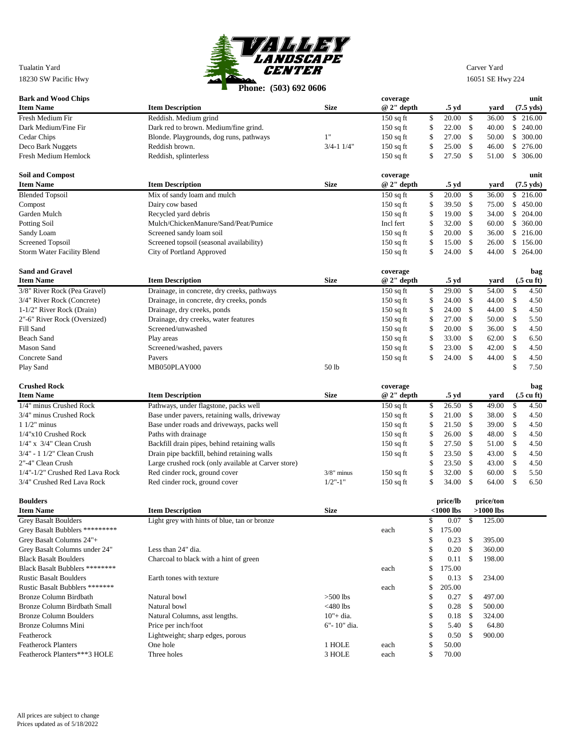

| <b>Bark and Wood Chips</b>                           | <b>THONC:</b> $300010220000$                        |                   | coverage    |          |                |               |                |          | unit                         |
|------------------------------------------------------|-----------------------------------------------------|-------------------|-------------|----------|----------------|---------------|----------------|----------|------------------------------|
| <b>Item Name</b>                                     | <b>Item Description</b>                             | <b>Size</b>       | $@2"$ depth |          | .5 yd          |               | yard           |          | $(7.5 \text{ yds})$          |
| Fresh Medium Fir                                     | Reddish. Medium grind                               |                   | $150$ sq ft | \$       | 20.00          | \$            | 36.00          |          | \$216.00                     |
| Dark Medium/Fine Fir                                 | Dark red to brown. Medium/fine grind.               |                   | $150$ sq ft | \$       | 22.00          | \$            | 40.00          |          | \$240.00                     |
| Cedar Chips                                          | Blonde. Playgrounds, dog runs, pathways             | 1"                | $150$ sq ft | \$       | 27.00          | $\mathbb{S}$  | 50.00          |          | \$ 300.00                    |
| Deco Bark Nuggets                                    | Reddish brown.                                      | $3/4 - 1$ $1/4$ " | $150$ sq ft | \$       | 25.00          | \$            | 46.00          | \$       | 276.00                       |
| <b>Fresh Medium Hemlock</b>                          | Reddish, splinterless                               |                   | $150$ sq ft | \$       | 27.50          | $\mathbb{S}$  | 51.00          |          | \$ 306.00                    |
|                                                      |                                                     |                   |             |          |                |               |                |          |                              |
| <b>Soil and Compost</b>                              |                                                     |                   | coverage    |          |                |               |                |          | unit                         |
| <b>Item Name</b>                                     | <b>Item Description</b>                             | <b>Size</b>       | $@2"$ depth |          | .5 yd          |               | yard           |          | $(7.5 \text{ yds})$          |
| <b>Blended Topsoil</b>                               | Mix of sandy loam and mulch                         |                   | $150$ sq ft | \$       | 20.00          | $\mathcal{S}$ | 36.00          |          | \$216.00                     |
| Compost                                              | Dairy cow based                                     |                   | $150$ sq ft | \$       | 39.50          | \$            | 75.00          |          | \$450.00                     |
| Garden Mulch                                         | Recycled yard debris                                |                   | $150$ sq ft | \$       | 19.00          | \$            | 34.00          | \$       | 204.00                       |
| Potting Soil                                         | Mulch/ChickenManure/Sand/Peat/Pumice                |                   | Incl fert   | \$       | 32.00          | $\mathbb{S}$  | 60.00          |          | \$ 360.00                    |
| Sandy Loam                                           | Screened sandy loam soil                            |                   | $150$ sq ft | \$       | 20.00          | \$            | 36.00          |          | \$216.00                     |
| <b>Screened Topsoil</b>                              | Screened topsoil (seasonal availability)            |                   | $150$ sq ft | \$       | 15.00          | \$            | 26.00          | \$       | 156.00                       |
| <b>Storm Water Facility Blend</b>                    | City of Portland Approved                           |                   | $150$ sq ft | \$       | 24.00          | $\mathbb{S}$  | 44.00          |          | \$264.00                     |
|                                                      |                                                     |                   |             |          |                |               |                |          |                              |
| <b>Sand and Gravel</b>                               |                                                     |                   | coverage    |          |                |               |                |          | bag                          |
| <b>Item Name</b>                                     | <b>Item Description</b>                             | <b>Size</b>       | $@2"$ depth |          | .5 yd          |               | yard           |          | $(.5 \text{ cu } \text{ft})$ |
| 3/8" River Rock (Pea Gravel)                         | Drainage, in concrete, dry creeks, pathways         |                   | $150$ sq ft | \$       | 29.00          | \$            | 54.00          | \$       | 4.50                         |
| 3/4" River Rock (Concrete)                           | Drainage, in concrete, dry creeks, ponds            |                   | $150$ sq ft | \$       | 24.00          | \$            | 44.00          | \$       | 4.50                         |
| 1-1/2" River Rock (Drain)                            | Drainage, dry creeks, ponds                         |                   | $150$ sq ft | \$       | 24.00          | \$            | 44.00          | \$       | 4.50                         |
| 2"-6" River Rock (Oversized)                         | Drainage, dry creeks, water features                |                   | $150$ sq ft | \$       | 27.00          | \$            | 50.00          | \$       | 5.50                         |
| Fill Sand                                            | Screened/unwashed                                   |                   | $150$ sq ft | \$       | 20.00          | \$            | 36.00          | \$       | 4.50                         |
| Beach Sand                                           | Play areas                                          |                   | $150$ sq ft | \$       | 33.00          | \$            | 62.00          | \$       | 6.50                         |
| Mason Sand                                           | Screened/washed, pavers                             |                   | $150$ sq ft | \$       | 23.00          | \$            | 42.00          | \$       | 4.50                         |
| Concrete Sand                                        | Pavers                                              |                   | $150$ sq ft | \$       | 24.00          | $\mathbb{S}$  | 44.00          | \$       | 4.50                         |
| Play Sand                                            | MB050PLAY000                                        | 50 lb             |             |          |                |               |                | \$       | 7.50                         |
|                                                      |                                                     |                   |             |          |                |               |                |          |                              |
|                                                      |                                                     |                   |             |          |                |               |                |          |                              |
| <b>Crushed Rock</b>                                  |                                                     |                   |             |          |                |               |                |          |                              |
| <b>Item Name</b>                                     |                                                     | <b>Size</b>       | coverage    |          |                |               | yard           |          | bag                          |
|                                                      | <b>Item Description</b>                             |                   | $@2"$ depth |          | .5 yd          |               |                |          | $(.5 \text{ cu } \text{ft})$ |
| 1/4" minus Crushed Rock<br>3/4" minus Crushed Rock   | Pathways, under flagstone, packs well               |                   | $150$ sq ft | \$       | 26.50          | \$            | 49.00          | \$<br>\$ | 4.50                         |
|                                                      | Base under pavers, retaining walls, driveway        |                   | $150$ sq ft | \$       | 21.00          | \$            | 38.00          |          | 4.50                         |
| $11/2$ " minus<br>$1/4$ "x10 Crushed Rock            | Base under roads and driveways, packs well          |                   | $150$ sq ft | \$       | 21.50<br>26.00 | \$<br>\$      | 39.00<br>48.00 | \$       | 4.50                         |
| $1/4$ " x $3/4$ " Clean Crush                        | Paths with drainage                                 |                   | $150$ sq ft | \$       |                | \$            | 51.00          | \$       | 4.50<br>4.50                 |
| 3/4" - 1 1/2" Clean Crush                            | Backfill drain pipes, behind retaining walls        |                   | $150$ sq ft | \$       | 27.50          | \$            | 43.00          | \$       | 4.50                         |
|                                                      | Drain pipe backfill, behind retaining walls         |                   | $150$ sq ft | \$       | 23.50          |               |                | \$       |                              |
| 2"-4" Clean Crush<br>1/4"-1/2" Crushed Red Lava Rock | Large crushed rock (only available at Carver store) | $3/8$ " minus     |             | \$<br>\$ | 23.50<br>32.00 | \$<br>\$      | 43.00<br>60.00 | \$<br>\$ | 4.50<br>5.50                 |
| 3/4" Crushed Red Lava Rock                           | Red cinder rock, ground cover                       | $1/2$ "-1"        | $150$ sq ft | \$       | 34.00          | \$            | 64.00          | \$       | 6.50                         |
|                                                      | Red cinder rock, ground cover                       |                   | $150$ sq ft |          |                |               |                |          |                              |
| <b>Boulders</b>                                      |                                                     |                   |             |          | price/lb       |               | price/ton      |          |                              |
| <b>Item Name</b>                                     | <b>Item Description</b>                             | <b>Size</b>       |             |          | $<$ 1000 lbs   |               | $>1000$ lbs    |          |                              |
| <b>Grey Basalt Boulders</b>                          | Light grey with hints of blue, tan or bronze        |                   |             | \$       | 0.07           | -\$           | 125.00         |          |                              |
| Grey Basalt Bubblers **********                      |                                                     |                   | each        | \$       | 175.00         |               |                |          |                              |
| Grey Basalt Columns 24"+                             |                                                     |                   |             | \$       | 0.23           | \$            | 395.00         |          |                              |
| Grey Basalt Columns under 24"                        | Less than 24" dia.                                  |                   |             | \$       | 0.20           | \$            | 360.00         |          |                              |
| <b>Black Basalt Boulders</b>                         |                                                     |                   |             | \$       | 0.11           | \$            | 198.00         |          |                              |
| Black Basalt Bubblers ********                       | Charcoal to black with a hint of green              |                   | each        | \$       | 175.00         |               |                |          |                              |
| <b>Rustic Basalt Boulders</b>                        | Earth tones with texture                            |                   |             | \$       | 0.13           | \$            | 234.00         |          |                              |
| Rustic Basalt Bubblers *******                       |                                                     |                   | each        | \$       | 205.00         |               |                |          |                              |
| <b>Bronze Column Birdbath</b>                        | Natural bowl                                        | $>500$ lbs        |             | \$       | 0.27           | \$            | 497.00         |          |                              |
| Bronze Column Birdbath Small                         | Natural bowl                                        | $<$ 480 lbs       |             | \$       | 0.28           | \$            | 500.00         |          |                              |
| <b>Bronze Column Boulders</b>                        | Natural Columns, asst lengths.                      | $10" + dia.$      |             | \$       | 0.18           | \$            | 324.00         |          |                              |
| Bronze Columns Mini                                  | Price per inch/foot                                 | 6"-10" dia.       |             | \$       | 5.40           | \$            | 64.80          |          |                              |
| Featherock                                           | Lightweight; sharp edges, porous                    |                   |             | \$       | 0.50           | \$            | 900.00         |          |                              |
| <b>Featherock Planters</b>                           | One hole                                            | 1 HOLE            | each        | \$       | 50.00          |               |                |          |                              |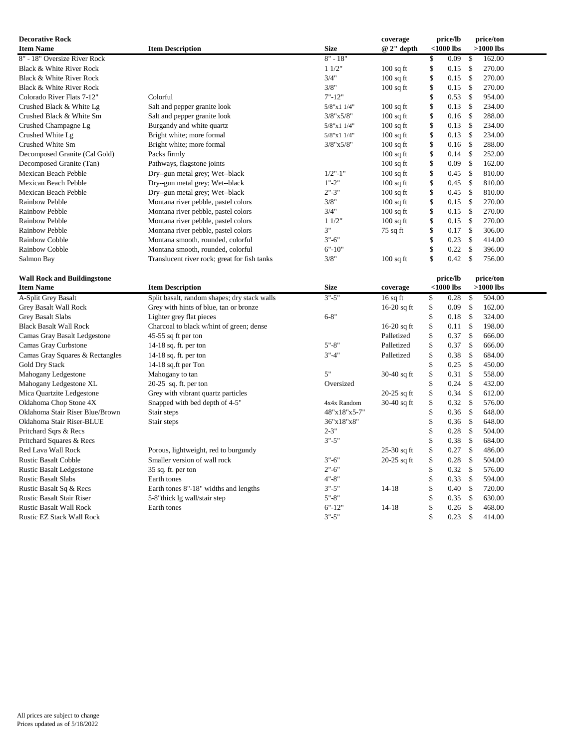| <b>Decorative Rock</b>             |                                              |                  | coverage      |                    | price/lb     |              | price/ton   |  |
|------------------------------------|----------------------------------------------|------------------|---------------|--------------------|--------------|--------------|-------------|--|
| <b>Item Name</b>                   | <b>Item Description</b>                      | <b>Size</b>      | $@2"$ depth   |                    | $<$ 1000 lbs |              | $>1000$ lbs |  |
| 8" - 18" Oversize River Rock       |                                              | $8" - 18"$       |               | \$                 | 0.09         | \$           | 162.00      |  |
| Black & White River Rock           |                                              | 11/2"            | $100$ sq ft   | \$                 | 0.15         | \$           | 270.00      |  |
| Black & White River Rock           |                                              | 3/4"             | $100$ sq ft   | \$                 | 0.15         | \$           | 270.00      |  |
| Black & White River Rock           |                                              | 3/8"             | $100$ sq ft   | \$                 | 0.15         | \$           | 270.00      |  |
| Colorado River Flats 7-12"         | Colorful                                     | $7 - 12$         |               | $\$$               | 0.53         | \$           | 954.00      |  |
| Crushed Black & White Lg           | Salt and pepper granite look                 | 5/8"x1 1/4"      | $100$ sq ft   | \$                 | 0.13         | $\mathbb{S}$ | 234.00      |  |
| Crushed Black & White Sm           | Salt and pepper granite look                 | $3/8$ "x $5/8$ " | $100$ sq ft   | \$                 | 0.16         | \$           | 288.00      |  |
| Crushed Champagne Lg               | Burgandy and white quartz                    | 5/8"x1 1/4"      | $100$ sq ft   | \$                 | 0.13         | \$           | 234.00      |  |
| Crushed White Lg                   | Bright white; more formal                    | 5/8"x1 1/4"      | $100$ sq ft   | \$                 | 0.13         | \$           | 234.00      |  |
| Crushed White Sm                   | Bright white; more formal                    | $3/8$ "x $5/8$ " | $100$ sq ft   | \$                 | 0.16         | \$           | 288.00      |  |
| Decomposed Granite (Cal Gold)      | Packs firmly                                 |                  | $100$ sq ft   | \$                 | 0.14         | \$           | 252.00      |  |
| Decomposed Granite (Tan)           | Pathways, flagstone joints                   |                  | $100$ sq ft   | \$                 | 0.09         | \$           | 162.00      |  |
| Mexican Beach Pebble               | Dry--gun metal grey; Wet--black              | $1/2$ "-1"       | $100$ sq ft   | \$                 | 0.45         | \$           | 810.00      |  |
| Mexican Beach Pebble               | Dry--gun metal grey; Wet--black              | $1" - 2"$        | $100$ sq ft   | \$                 | 0.45         | \$           | 810.00      |  |
| Mexican Beach Pebble               | Dry--gun metal grey; Wet--black              | $2" - 3"$        | $100$ sq ft   | \$                 | 0.45         | \$           | 810.00      |  |
| <b>Rainbow Pebble</b>              | Montana river pebble, pastel colors          | 3/8"             | $100$ sq ft   | \$                 | 0.15         | \$           | 270.00      |  |
| Rainbow Pebble                     | Montana river pebble, pastel colors          | 3/4"             | $100$ sq ft   | \$                 | 0.15         | \$           | 270.00      |  |
| Rainbow Pebble                     | Montana river pebble, pastel colors          | 11/2"            | $100$ sq ft   | \$                 | 0.15         | \$           | 270.00      |  |
| Rainbow Pebble                     | Montana river pebble, pastel colors          | 3"               | $75$ sq ft    | \$                 | 0.17         | \$           | 306.00      |  |
| Rainbow Cobble                     | Montana smooth, rounded, colorful            | $3" - 6"$        |               | \$                 | 0.23         | \$           | 414.00      |  |
| Rainbow Cobble                     | Montana smooth, rounded, colorful            | $6" - 10"$       |               | \$                 | 0.22         | \$           | 396.00      |  |
| Salmon Bay                         | Translucent river rock; great for fish tanks | 3/8"             | $100$ sq ft   | $\mathbf S$        | 0.42         | \$           | 756.00      |  |
|                                    |                                              |                  |               |                    |              |              |             |  |
| <b>Wall Rock and Buildingstone</b> |                                              |                  |               |                    | price/lb     |              | price/ton   |  |
| <b>Item Name</b>                   | <b>Item Description</b>                      | <b>Size</b>      | coverage      |                    | $<$ 1000 lbs |              | $>1000$ lbs |  |
| A-Split Grey Basalt                | Split basalt, random shapes; dry stack walls | $3" - 5"$        | $16$ sq ft    | \$                 | 0.28         | $\mathbb{S}$ | 504.00      |  |
| Grey Basalt Wall Rock              | Grey with hints of blue, tan or bronze       |                  | $16-20$ sq ft | \$                 | 0.09         | $\mathbb{S}$ | 162.00      |  |
| <b>Grey Basalt Slabs</b>           | Lighter grey flat pieces                     | $6 - 8"$         |               | \$                 | 0.18         | \$           | 324.00      |  |
| <b>Black Basalt Wall Rock</b>      | Charcoal to black w/hint of green; dense     |                  | $16-20$ sq ft | \$                 | 0.11         | \$           | 198.00      |  |
| Camas Gray Basalt Ledgestone       | 45-55 sq ft per ton                          |                  | Palletized    | \$                 | 0.37         | \$           | 666.00      |  |
| Camas Gray Curbstone               | 14-18 sq. ft. per ton                        | $5" - 8"$        | Palletized    | \$                 | 0.37         | \$           | 666.00      |  |
| Camas Gray Squares & Rectangles    | 14-18 sq. ft. per ton                        | $3" - 4"$        | Palletized    | \$                 | 0.38         | \$           | 684.00      |  |
| Gold Dry Stack                     | 14-18 sq.ft per Ton                          |                  |               | \$                 | 0.25         | $\mathbb{S}$ | 450.00      |  |
| Mahogany Ledgestone                | Mahogany to tan                              | 5"               | $30-40$ sq ft | \$                 | 0.31         | $\mathbb{S}$ | 558.00      |  |
| Mahogany Ledgestone XL             | $20-25$ sq. ft. per ton                      | Oversized        |               | \$                 | 0.24         | $\mathbb{S}$ | 432.00      |  |
| Mica Quartzite Ledgestone          | Grey with vibrant quartz particles           |                  | $20-25$ sq ft | \$                 | 0.34         | \$           | 612.00      |  |
| Oklahoma Chop Stone 4X             | Snapped with bed depth of 4-5"               | 4x4x Random      | $30-40$ sq ft | \$                 | 0.32         | $\mathbb{S}$ | 576.00      |  |
| Oklahoma Stair Riser Blue/Brown    | Stair steps                                  | 48"x18"x5-7"     |               | \$                 | 0.36         | \$           | 648.00      |  |
| Oklahoma Stair Riser-BLUE          | Stair steps                                  | 36"x18"x8"       |               | \$                 | 0.36         | $\mathbb{S}$ | 648.00      |  |
| Pritchard Sqrs & Recs              |                                              | $2 - 3"$         |               | \$                 | 0.28         | $\mathbb{S}$ | 504.00      |  |
| Pritchard Squares & Recs           |                                              | $3" - 5"$        |               | \$                 | 0.38         | \$           | 684.00      |  |
| Red Lava Wall Rock                 | Porous, lightweight, red to burgundy         |                  | $25-30$ sq ft | \$                 | 0.27         | \$           | 486.00      |  |
| <b>Rustic Basalt Cobble</b>        | Smaller version of wall rock                 | $3" - 6"$        | $20-25$ sq ft | \$                 | 0.28         | $\mathbb{S}$ | 504.00      |  |
| <b>Rustic Basalt Ledgestone</b>    | 35 sq. ft. per ton                           | $2" - 6"$        |               | \$                 | 0.32         | \$           | 576.00      |  |
| <b>Rustic Basalt Slabs</b>         | Earth tones                                  | $4" - 8"$        |               | $\mathbf{\hat{S}}$ | 0.33         | $\mathbb S$  | 594.00      |  |

Rustic Basalt Sq & Recs Earth tones 8"-18" widths and lengths 3"-5" 14-18 \$ 0.40 \$ 720.00<br>Rustic Basalt Stair Riser 5-8" 5-8" hick Ig wall/stair step 5"-8" \$ 0.35 \$ 630.00

Rustic Basalt Stair Riser 5-8"thick lg wall/stair step 5"-8" \$ 0.35 \$ 630.00

Rustic Basalt Wall Rock Earth tones Earth tones 6"-12" 14-18 \$ 0.26 \$ 468.00<br>
Rustic EZ Stack Wall Rock 5 414.00 Rustic EZ Stack Wall Rock 3"-5"  $\qquad \qquad$  \$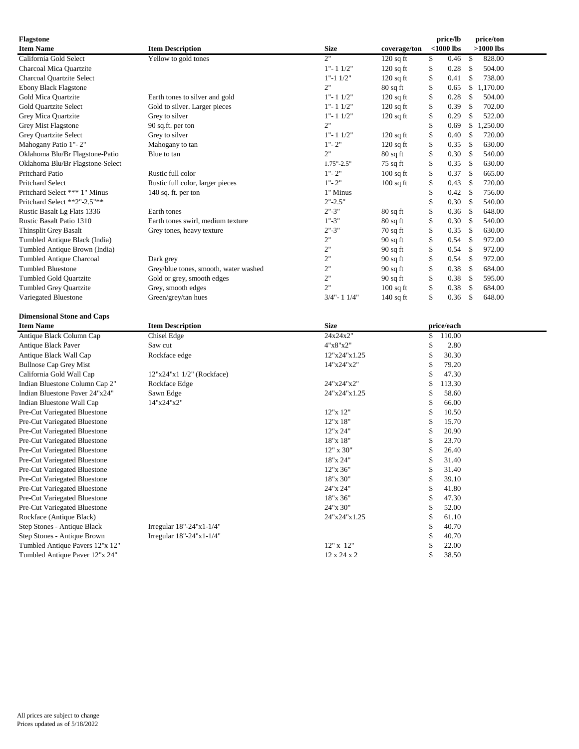| <b>Flagstone</b><br><b>Item Name</b>                         | <b>Item Description</b>               | <b>Size</b>          | coverage/ton |          | price/lb<br>$<$ 1000 lbs | price/ton<br>$>1000$ lbs |  |
|--------------------------------------------------------------|---------------------------------------|----------------------|--------------|----------|--------------------------|--------------------------|--|
| California Gold Select                                       | Yellow to gold tones                  | 2"                   | $120$ sq ft  | \$       | 0.46                     | \$<br>828.00             |  |
| Charcoal Mica Quartzite                                      |                                       | $1" - 11/2"$         | $120$ sq ft  | \$       | 0.28                     | \$<br>504.00             |  |
| Charcoal Quartzite Select                                    |                                       | $1" - 1 1/2"$        | $120$ sq ft  | \$       | 0.41                     | \$<br>738.00             |  |
| Ebony Black Flagstone                                        |                                       | 2"                   | $80$ sq ft   | \$       | 0.65                     | \$1,170.00               |  |
| Gold Mica Quartzite                                          | Earth tones to silver and gold        | $1" - 11/2"$         | $120$ sq ft  | \$       | 0.28                     | \$<br>504.00             |  |
| Gold Quartzite Select                                        | Gold to silver. Larger pieces         | $1" - 11/2"$         | $120$ sq ft  | \$       | 0.39                     | \$<br>702.00             |  |
| Grey Mica Quartzite                                          | Grey to silver                        | $1" - 11/2"$         | $120$ sq ft  | \$       | 0.29                     | \$<br>522.00             |  |
| Grey Mist Flagstone                                          | 90 sq.ft. per ton                     | 2"                   |              | \$       | 0.69                     | \$1,250.00               |  |
| Grey Quartzite Select                                        | Grey to silver                        | $1" - 11/2"$         | $120$ sq ft  | \$       | 0.40                     | \$<br>720.00             |  |
| Mahogany Patio 1"-2"                                         | Mahogany to tan                       | $1" - 2"$            | $120$ sq ft  | \$       | 0.35                     | \$<br>630.00             |  |
| Oklahoma Blu/Br Flagstone-Patio                              | Blue to tan                           | 2"                   | $80$ sq ft   | \$       | 0.30                     | \$<br>540.00             |  |
| Oklahoma Blu/Br Flagstone-Select                             |                                       | $1.75$ "-2.5"        | 75 sq ft     | \$       | 0.35                     | \$<br>630.00             |  |
| Pritchard Patio                                              | Rustic full color                     | $1" - 2"$            | $100$ sq ft  | \$       | 0.37                     | \$<br>665.00             |  |
| Pritchard Select                                             | Rustic full color, larger pieces      | $1" - 2"$            | $100$ sq ft  | \$       | 0.43                     | \$<br>720.00             |  |
| Pritchard Select *** 1" Minus                                | 140 sq. ft. per ton                   | 1" Minus             |              | \$       | 0.42                     | \$<br>756.00             |  |
| Pritchard Select **2"-2.5"**                                 |                                       | $2" - 2.5"$          |              | \$       | 0.30                     | \$<br>540.00             |  |
| Rustic Basalt Lg Flats 1336                                  | Earth tones                           | $2" - 3"$            | $80$ sq ft   | \$       | 0.36                     | \$<br>648.00             |  |
| Rustic Basalt Patio 1310                                     | Earth tones swirl, medium texture     | $1" - 3"$            | $80$ sq ft   | \$       | 0.30                     | \$<br>540.00             |  |
| <b>Thinsplit Grey Basalt</b>                                 | Grey tones, heavy texture             | $2" - 3"$            | 70 sq ft     | \$       | 0.35                     | \$<br>630.00             |  |
| Tumbled Antique Black (India)                                |                                       | 2"                   | 90 sq ft     | \$       | 0.54                     | \$<br>972.00             |  |
| Tumbled Antique Brown (India)                                |                                       | 2"                   | $90$ sq ft   | \$       | 0.54                     | \$<br>972.00             |  |
| Tumbled Antique Charcoal                                     | Dark grey                             | 2"                   | $90$ sq ft   | \$       | 0.54                     | \$<br>972.00             |  |
| <b>Tumbled Bluestone</b>                                     | Grey/blue tones, smooth, water washed | 2"                   | $90$ sq ft   | \$       | 0.38                     | \$<br>684.00             |  |
| Tumbled Gold Quartzite                                       | Gold or grey, smooth edges            | 2"                   | $90$ sq ft   | \$       | 0.38                     | \$<br>595.00             |  |
| <b>Tumbled Grey Quartzite</b>                                | Grey, smooth edges                    | 2"                   | $100$ sq ft  | \$       | 0.38                     | \$<br>684.00             |  |
| Variegated Bluestone                                         | Green/grey/tan hues                   | $3/4"$ - 1 $1/4"$    | $140$ sq ft  | \$       | 0.36                     | \$<br>648.00             |  |
|                                                              |                                       |                      |              |          |                          |                          |  |
| <b>Dimensional Stone and Caps</b>                            |                                       |                      |              |          |                          |                          |  |
| <b>Item Name</b>                                             | <b>Item Description</b>               | <b>Size</b>          |              |          | price/each               |                          |  |
| Antique Black Column Cap                                     | Chisel Edge                           | 24x24x2"             |              | \$       | 110.00                   |                          |  |
| Antique Black Paver                                          | Saw cut                               | 4"x8"x2"             |              | \$       | 2.80                     |                          |  |
| Antique Black Wall Cap                                       | Rockface edge                         | 12"x24"x1.25         |              | \$       | 30.30                    |                          |  |
| <b>Bullnose Cap Grey Mist</b>                                |                                       | 14"x24"x2"           |              | \$       | 79.20                    |                          |  |
| California Gold Wall Cap                                     | 12"x24"x1 1/2" (Rockface)             |                      |              | \$       | 47.30                    |                          |  |
| Indian Bluestone Column Cap 2"                               | Rockface Edge                         | 24"x24"x2"           |              | \$       | 113.30                   |                          |  |
| Indian Bluestone Paver 24"x24"                               | Sawn Edge                             | 24"x24"x1.25         |              | \$       | 58.60                    |                          |  |
| Indian Bluestone Wall Cap                                    | 14"x24"x2"                            |                      |              | \$       | 66.00                    |                          |  |
| Pre-Cut Variegated Bluestone                                 |                                       | 12"x 12"             |              | \$       | 10.50                    |                          |  |
| Pre-Cut Variegated Bluestone                                 |                                       | 12"x 18"             |              | \$       | 15.70                    |                          |  |
| Pre-Cut Variegated Bluestone                                 |                                       | 12"x 24"             |              | \$       | 20.90                    |                          |  |
| Pre-Cut Variegated Bluestone                                 |                                       | 18"x 18"             |              | \$       | 23.70                    |                          |  |
| Pre-Cut Variegated Bluestone                                 |                                       | 12" x 30"            |              | \$       | 26.40                    |                          |  |
| Pre-Cut Variegated Bluestone                                 |                                       | 18"x 24"             |              | \$       | 31.40                    |                          |  |
| Pre-Cut Variegated Bluestone                                 |                                       | 12"x 36"             |              | \$       | 31.40<br>39.10           |                          |  |
| Pre-Cut Variegated Bluestone                                 |                                       | 18"x 30"             |              | \$       |                          |                          |  |
| Pre-Cut Variegated Bluestone                                 |                                       | 24"x 24"             |              | \$<br>\$ | 41.80                    |                          |  |
| Pre-Cut Variegated Bluestone<br>Pre-Cut Variegated Bluestone |                                       | 18"x 36"<br>24"x 30" |              | \$       | 47.30<br>52.00           |                          |  |
| Rockface (Antique Black)                                     |                                       | 24"x24"x1.25         |              | \$       | 61.10                    |                          |  |
| Step Stones - Antique Black                                  | Irregular $18" - 24" \times 1 - 1/4"$ |                      |              | \$       | 40.70                    |                          |  |
| Step Stones - Antique Brown                                  | Irregular 18"-24"x1-1/4"              |                      |              | \$       | 40.70                    |                          |  |
| Tumbled Antique Pavers 12"x 12"                              |                                       | $12"$ x $12"$        |              | \$       | 22.00                    |                          |  |
| Tumbled Antique Paver 12"x 24"                               |                                       | $12$ x $24$ x $2$    |              | \$       | 38.50                    |                          |  |
|                                                              |                                       |                      |              |          |                          |                          |  |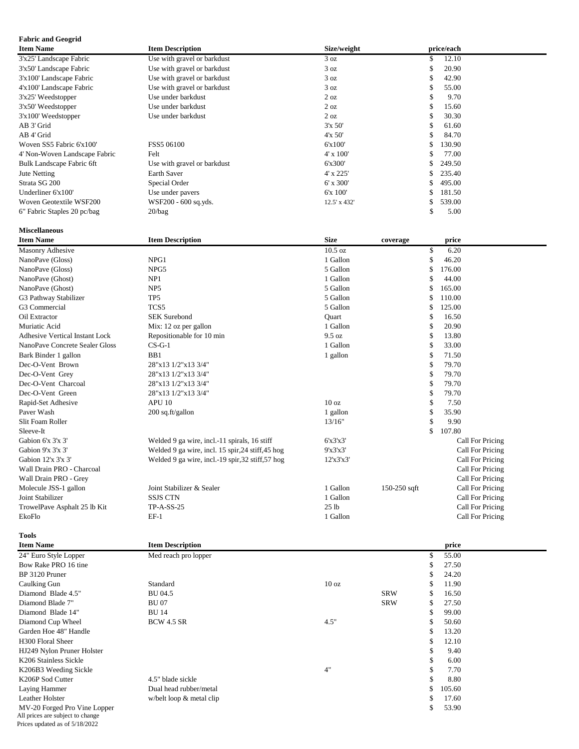### **Fabric and Geogrid**

| <b>Item Name</b>              | <b>Item Description</b>     | Size/weight      | price/each    |  |
|-------------------------------|-----------------------------|------------------|---------------|--|
| 3'x25' Landscape Fabric       | Use with gravel or barkdust | 3 oz             | 12.10<br>\$   |  |
| 3'x50' Landscape Fabric       | Use with gravel or barkdust | 3 oz             | 20.90<br>\$   |  |
| 3'x100' Landscape Fabric      | Use with gravel or barkdust | 3 oz             | 42.90<br>ъ.   |  |
| 4'x100' Landscape Fabric      | Use with gravel or barkdust | 3 oz             | 55.00<br>ъ    |  |
| 3'x25' Weedstopper            | Use under barkdust          | 2 oz             | 9.70<br>S     |  |
| 3'x50' Weedstopper            | Use under barkdust          | 2 oz             | 15.60<br>\$   |  |
| $3'x100'$ Weedstopper         | Use under barkdust          | $2 \text{ oz}$   | 30.30<br>J.   |  |
| AB 3' Grid                    |                             | 3'x 50'          | \$<br>61.60   |  |
| AB 4' Grid                    |                             | $4'x\ 50'$       | 84.70<br>\$   |  |
| Woven SS5 Fabric 6'x100'      | FSS5 06100                  | 6'x100'          | 130.90<br>\$  |  |
| 4' Non-Woven Landscape Fabric | Felt                        | $4' \times 100'$ | 77.00<br>ъ.   |  |
| Bulk Landscape Fabric 6ft     | Use with gravel or barkdust | 6'x300'          | 249.50<br>\$  |  |
| Jute Netting                  | <b>Earth Saver</b>          | $4'$ x 225'      | 235.40<br>\$. |  |
| Strata SG 200                 | Special Order               | 6' x 300'        | 495.00        |  |
| Underliner 6'x100'            | Use under pavers            | 6'x 100'         | 181.50<br>ς   |  |
| Woven Geotextile WSF200       | WSF200 - 600 sq.yds.        | 12.5' x 432'     | 539.00<br>S   |  |
| 6" Fabric Staples 20 pc/bag   | 20/bag                      |                  | \$<br>5.00    |  |
| <b>Miscellaneous</b>          |                             |                  |               |  |

| <b>Item Name</b>                      | <b>Item Description</b>                           | <b>Size</b>      | coverage     |    | price                   |  |
|---------------------------------------|---------------------------------------------------|------------------|--------------|----|-------------------------|--|
| Masonry Adhesive                      |                                                   | 10.5 oz          |              | \$ | 6.20                    |  |
| NanoPave (Gloss)                      | NPG1                                              | 1 Gallon         |              | \$ | 46.20                   |  |
| NanoPave (Gloss)                      | NPG5                                              | 5 Gallon         |              | \$ | 176.00                  |  |
| NanoPave (Ghost)                      | NP1                                               | 1 Gallon         |              | S  | 44.00                   |  |
| NanoPave (Ghost)                      | NP <sub>5</sub>                                   | 5 Gallon         |              |    | 165.00                  |  |
| G3 Pathway Stabilizer                 | TP <sub>5</sub>                                   | 5 Gallon         |              |    | 110.00                  |  |
| G3 Commercial                         | TCS <sub>5</sub>                                  | 5 Gallon         |              |    | 125.00                  |  |
| Oil Extractor                         | <b>SEK Surebond</b>                               | Ouart            |              | S  | 16.50                   |  |
| Muriatic Acid                         | Mix: 12 oz per gallon                             | 1 Gallon         |              | \$ | 20.90                   |  |
| <b>Adhesive Vertical Instant Lock</b> | Repositionable for 10 min                         | 9.5 oz           |              | \$ | 13.80                   |  |
| NanoPave Concrete Sealer Gloss        | $CS-G-1$                                          | 1 Gallon         |              | S  | 33.00                   |  |
| Bark Binder 1 gallon                  | B <sub>B1</sub>                                   | 1 gallon         |              | \$ | 71.50                   |  |
| Dec-O-Vent Brown                      | 28"x13 1/2"x13 3/4"                               |                  |              | S  | 79.70                   |  |
| Dec-O-Vent Grey                       | 28"x13 1/2"x13 3/4"                               |                  |              | \$ | 79.70                   |  |
| Dec-O-Vent Charcoal                   | 28"x13 1/2"x13 3/4"                               |                  |              | S  | 79.70                   |  |
| Dec-O-Vent Green                      | 28"x13 1/2"x13 3/4"                               |                  |              | \$ | 79.70                   |  |
| Rapid-Set Adhesive                    | APU 10                                            | 10 <sub>oz</sub> |              | S  | 7.50                    |  |
| Paver Wash                            | 200 sq.ft/gallon                                  | 1 gallon         |              | \$ | 35.90                   |  |
| Slit Foam Roller                      |                                                   | 13/16"           |              | \$ | 9.90                    |  |
| Sleeve-It                             |                                                   |                  |              | \$ | 107.80                  |  |
| Gabion 6'x 3'x 3'                     | Welded 9 ga wire, incl.-11 spirals, 16 stiff      | 6'x3'x3'         |              |    | Call For Pricing        |  |
| Gabion 9'x 3'x 3'                     | Welded 9 ga wire, incl. 15 spir, 24 stiff, 45 hog | 9'x3'x3'         |              |    | Call For Pricing        |  |
| Gabion $12x3x3'$                      | Welded 9 ga wire, incl.-19 spir, 32 stiff, 57 hog | 12'x3'x3'        |              |    | Call For Pricing        |  |
| Wall Drain PRO - Charcoal             |                                                   |                  |              |    | <b>Call For Pricing</b> |  |
| Wall Drain PRO - Grey                 |                                                   |                  |              |    | Call For Pricing        |  |
| Molecule JSS-1 gallon                 | Joint Stabilizer & Sealer                         | 1 Gallon         | 150-250 sqft |    | Call For Pricing        |  |
| Joint Stabilizer                      | <b>SSJS CTN</b>                                   | 1 Gallon         |              |    | Call For Pricing        |  |
| TrowelPave Asphalt 25 lb Kit          | <b>TP-A-SS-25</b>                                 | 25 <sub>1b</sub> |              |    | Call For Pricing        |  |
| EkoFlo                                | $EF-1$                                            | 1 Gallon         |              |    | Call For Pricing        |  |

**Tools**

| <b>Item Name</b>                                                                                   | <b>Item Description</b>    |                  |            |    | price  |  |
|----------------------------------------------------------------------------------------------------|----------------------------|------------------|------------|----|--------|--|
| 24" Euro Style Lopper                                                                              | Med reach pro lopper       |                  |            | \$ | 55.00  |  |
| Bow Rake PRO 16 tine                                                                               |                            |                  |            | \$ | 27.50  |  |
| BP 3120 Pruner                                                                                     |                            |                  |            | \$ | 24.20  |  |
| Caulking Gun                                                                                       | Standard                   | 10 <sub>oz</sub> |            | \$ | 11.90  |  |
| Diamond Blade 4.5"                                                                                 | <b>BU 04.5</b>             |                  | <b>SRW</b> | \$ | 16.50  |  |
| Diamond Blade 7"                                                                                   | <b>BU07</b>                |                  | <b>SRW</b> | \$ | 27.50  |  |
| Diamond Blade 14"                                                                                  | <b>BU 14</b>               |                  |            | \$ | 99.00  |  |
| Diamond Cup Wheel                                                                                  | <b>BCW 4.5 SR</b>          | 4.5"             |            | \$ | 50.60  |  |
| Garden Hoe 48" Handle                                                                              |                            |                  |            | \$ | 13.20  |  |
| H <sub>300</sub> Floral Sheer                                                                      |                            |                  |            | \$ | 12.10  |  |
| HJ249 Nylon Pruner Holster                                                                         |                            |                  |            | \$ | 9.40   |  |
| K206 Stainless Sickle                                                                              |                            |                  |            | \$ | 6.00   |  |
| K206B3 Weeding Sickle                                                                              |                            | 4"               |            | \$ | 7.70   |  |
| K206P Sod Cutter                                                                                   | 4.5" blade sickle          |                  |            | \$ | 8.80   |  |
| Laying Hammer                                                                                      | Dual head rubber/metal     |                  |            | \$ | 105.60 |  |
| <b>Leather Holster</b>                                                                             | w/belt loop $&$ metal clip |                  |            | S  | 17.60  |  |
| MV-20 Forged Pro Vine Lopper<br>All prices are subject to change<br>Prices updated as of 5/18/2022 |                            |                  |            | \$ | 53.90  |  |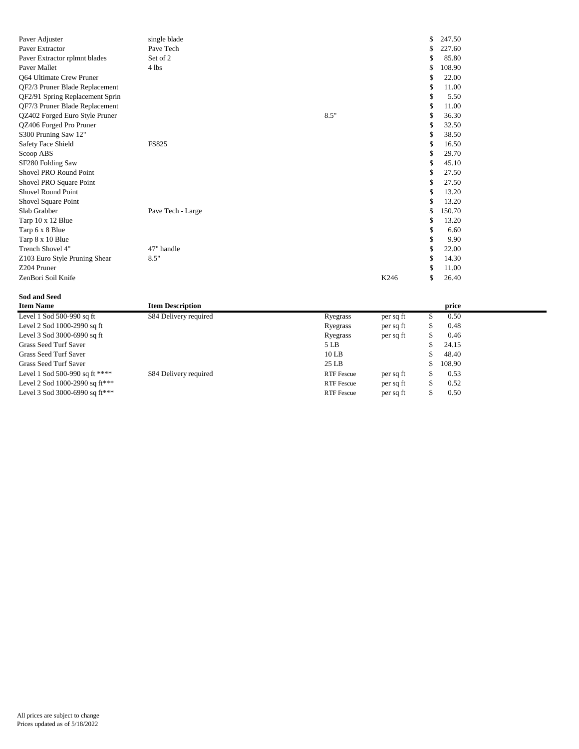| Paver Adjuster                  | single blade      |      | \$         | 247.50 |
|---------------------------------|-------------------|------|------------|--------|
| Paver Extractor                 | Pave Tech         |      | \$         | 227.60 |
| Paver Extractor rplmnt blades   | Set of 2          |      | \$         | 85.80  |
| Paver Mallet                    | 4 lbs             |      | \$         | 108.90 |
| Q64 Ultimate Crew Pruner        |                   |      | \$         | 22.00  |
| QF2/3 Pruner Blade Replacement  |                   |      | \$         | 11.00  |
| QF2/91 Spring Replacement Sprin |                   |      | \$         | 5.50   |
| QF7/3 Pruner Blade Replacement  |                   |      | S          | 11.00  |
| QZ402 Forged Euro Style Pruner  |                   | 8.5" | \$         | 36.30  |
| QZ406 Forged Pro Pruner         |                   |      | \$         | 32.50  |
| S300 Pruning Saw 12"            |                   |      | \$         | 38.50  |
| <b>Safety Face Shield</b>       | <b>FS825</b>      |      | \$         | 16.50  |
| Scoop ABS                       |                   |      | \$         | 29.70  |
| SF280 Folding Saw               |                   |      | \$         | 45.10  |
| Shovel PRO Round Point          |                   |      | \$         | 27.50  |
| Shovel PRO Square Point         |                   |      | \$         | 27.50  |
| Shovel Round Point              |                   |      | S          | 13.20  |
| Shovel Square Point             |                   |      | \$         | 13.20  |
| Slab Grabber                    | Pave Tech - Large |      | \$         | 150.70 |
| Tarp 10 x 12 Blue               |                   |      | \$         | 13.20  |
| Tarp 6 x 8 Blue                 |                   |      | \$         | 6.60   |
| Tarp 8 x 10 Blue                |                   |      | \$         | 9.90   |
| Trench Shovel 4"                | 47" handle        |      | \$         | 22.00  |
| Z103 Euro Style Pruning Shear   | 8.5"              |      | \$         | 14.30  |
| Z204 Pruner                     |                   |      | S          | 11.00  |
| ZenBori Soil Knife              |                   |      | K246<br>\$ | 26.40  |

#### **Sod and Seed**

| <b>Item Name</b>               | <b>Item Description</b> |                   |           | price  |  |
|--------------------------------|-------------------------|-------------------|-----------|--------|--|
| Level 1 Sod $500-990$ sq ft    | \$84 Delivery required  | Ryegrass          | per sq ft | 0.50   |  |
| Level 2 Sod 1000-2990 sq ft    |                         | Ryegrass          | per sq ft | 0.48   |  |
| Level 3 Sod 3000-6990 sq ft    |                         | Ryegrass          | per sq ft | 0.46   |  |
| Grass Seed Turf Saver          |                         | 5 LB              |           | 24.15  |  |
| Grass Seed Turf Saver          |                         | $10$ LB           |           | 48.40  |  |
| Grass Seed Turf Saver          |                         | $25$ LB           |           | 108.90 |  |
| Level 1 Sod 500-990 sq ft **** | \$84 Delivery required  | <b>RTF</b> Fescue | per sq ft | 0.53   |  |
| Level 2 Sod 1000-2990 sq ft*** |                         | <b>RTF</b> Fescue | per sq ft | 0.52   |  |
| Level 3 Sod 3000-6990 sq ft*** |                         | <b>RTF</b> Fescue | per sq ft | 0.50   |  |